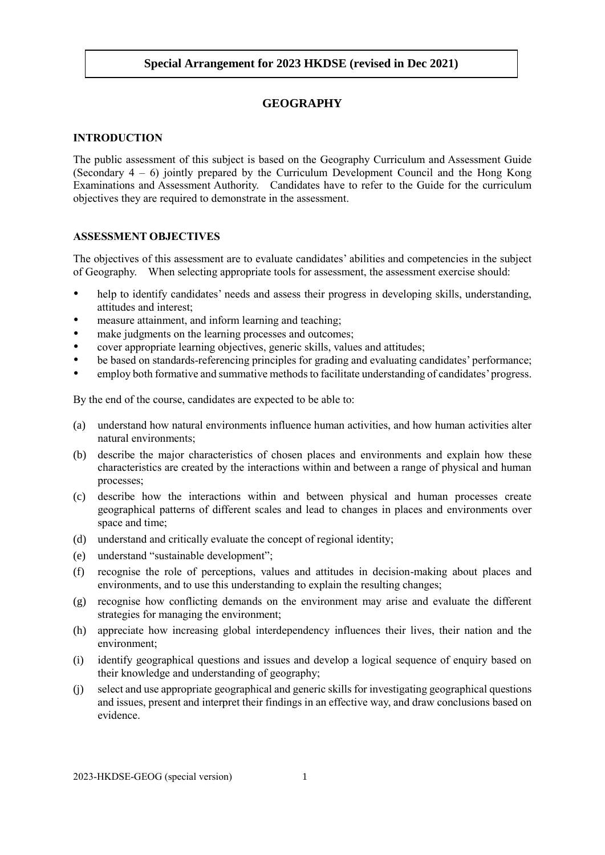## **GEOGRAPHY**

### **INTRODUCTION**

The public assessment of this subject is based on the Geography Curriculum and Assessment Guide (Secondary  $4 - 6$ ) jointly prepared by the Curriculum Development Council and the Hong Kong Examinations and Assessment Authority. Candidates have to refer to the Guide for the curriculum objectives they are required to demonstrate in the assessment.

### **ASSESSMENT OBJECTIVES**

The objectives of this assessment are to evaluate candidates' abilities and competencies in the subject of Geography. When selecting appropriate tools for assessment, the assessment exercise should:

- help to identify candidates' needs and assess their progress in developing skills, understanding, attitudes and interest;
- measure attainment, and inform learning and teaching;
- make judgments on the learning processes and outcomes;
- cover appropriate learning objectives, generic skills, values and attitudes;
- be based on standards-referencing principles for grading and evaluating candidates' performance;
- employ both formative and summative methods to facilitate understanding of candidates' progress.

By the end of the course, candidates are expected to be able to:

- (a) understand how natural environments influence human activities, and how human activities alter natural environments;
- (b) describe the major characteristics of chosen places and environments and explain how these characteristics are created by the interactions within and between a range of physical and human processes;
- (c) describe how the interactions within and between physical and human processes create geographical patterns of different scales and lead to changes in places and environments over space and time;
- (d) understand and critically evaluate the concept of regional identity;
- (e) understand "sustainable development";
- (f) recognise the role of perceptions, values and attitudes in decision-making about places and environments, and to use this understanding to explain the resulting changes;
- (g) recognise how conflicting demands on the environment may arise and evaluate the different strategies for managing the environment;
- (h) appreciate how increasing global interdependency influences their lives, their nation and the environment;
- (i) identify geographical questions and issues and develop a logical sequence of enquiry based on their knowledge and understanding of geography;
- (j) select and use appropriate geographical and generic skills for investigating geographical questions and issues, present and interpret their findings in an effective way, and draw conclusions based on evidence.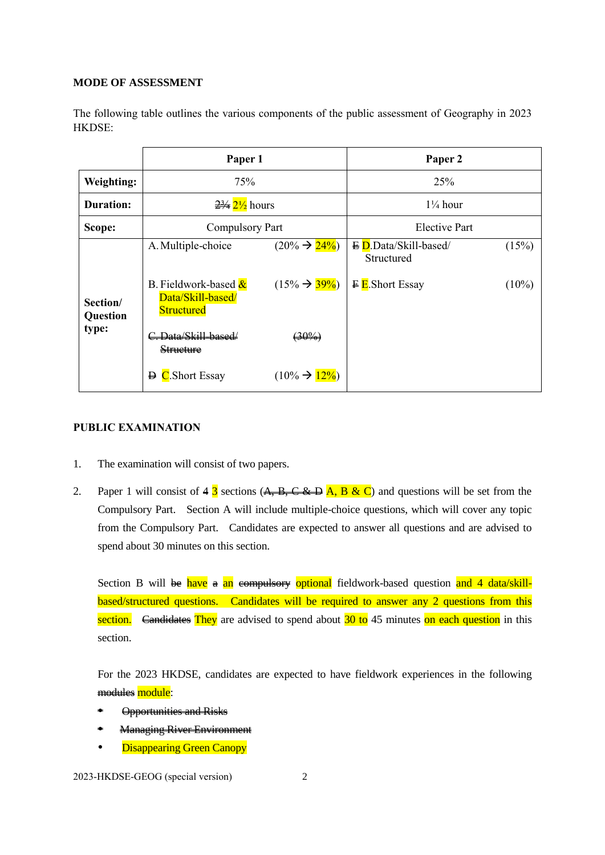### **MODE OF ASSESSMENT**

The following table outlines the various components of the public assessment of Geography in 2023 HKDSE:

|                               | Paper 1                                                                              |                                                        | Paper 2                                                                           |                   |
|-------------------------------|--------------------------------------------------------------------------------------|--------------------------------------------------------|-----------------------------------------------------------------------------------|-------------------|
| Weighting:                    | 75%                                                                                  |                                                        | 25%                                                                               |                   |
| <b>Duration:</b>              | $\frac{23}{4}$ $\frac{21}{2}$ hours                                                  |                                                        | $1\frac{1}{4}$ hour                                                               |                   |
| Scope:                        | Compulsory Part                                                                      |                                                        | <b>Elective Part</b>                                                              |                   |
| Section/<br>Question<br>type: | A. Multiple-choice<br>B. Fieldwork-based &<br>Data/Skill-based/<br><b>Structured</b> | $(20\% \rightarrow 24\%)$<br>$(15\% \rightarrow 39\%)$ | $\overline{E}$ D.Data/Skill-based/<br>Structured<br>$\overline{F}$ E. Short Essay | (15%)<br>$(10\%)$ |
|                               | C. Data/Skill-based/<br><b>Structure</b>                                             | $(30\%)$                                               |                                                                                   |                   |
|                               | $\overline{D}$ C. Short Essay                                                        | $(10\% \rightarrow 12\%)$                              |                                                                                   |                   |

# **PUBLIC EXAMINATION**

- 1. The examination will consist of two papers.
- 2. Paper 1 will consist of  $4\overline{3}$  sections  $(A, B, C \& D)$  and questions will be set from the Compulsory Part. Section A will include multiple-choice questions, which will cover any topic from the Compulsory Part. Candidates are expected to answer all questions and are advised to spend about 30 minutes on this section.

Section B will be have a an example strategiery optional fieldwork-based question and 4 data/skillbased/structured questions. Candidates will be required to answer any 2 questions from this section. <del>Candidates</del> They are advised to spend about  $\frac{30 \text{ to } 45 \text{ minutes}}{20 \text{ to } 45 \text{ minutes}}$  on each question in this section.

For the 2023 HKDSE, candidates are expected to have fieldwork experiences in the following modules module:

- Opportunities and Risks
- Managing River Environment
- Disappearing Green Canopy